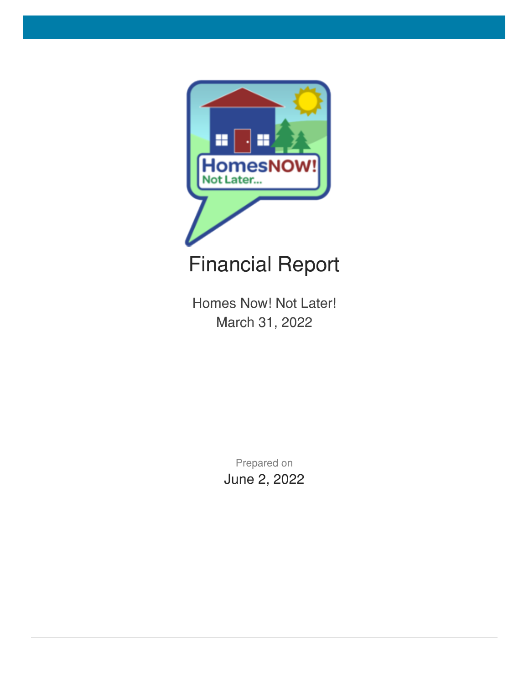

# Financial Report

Homes Now! Not Later! March 31, 2022

> Prepared on June 2, 2022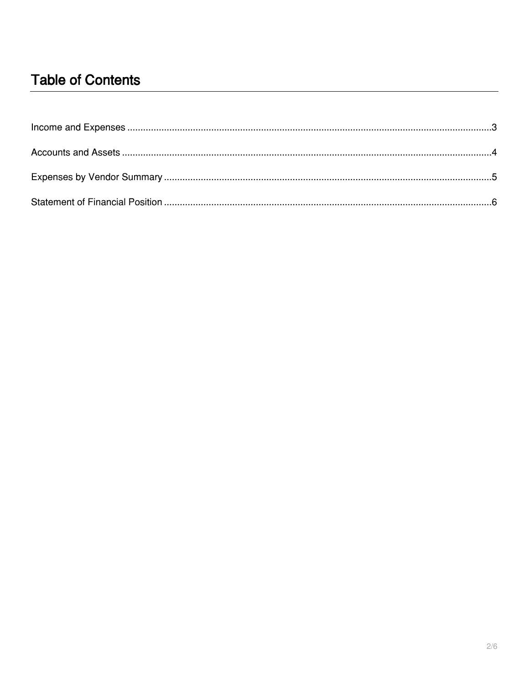#### **Table of Contents**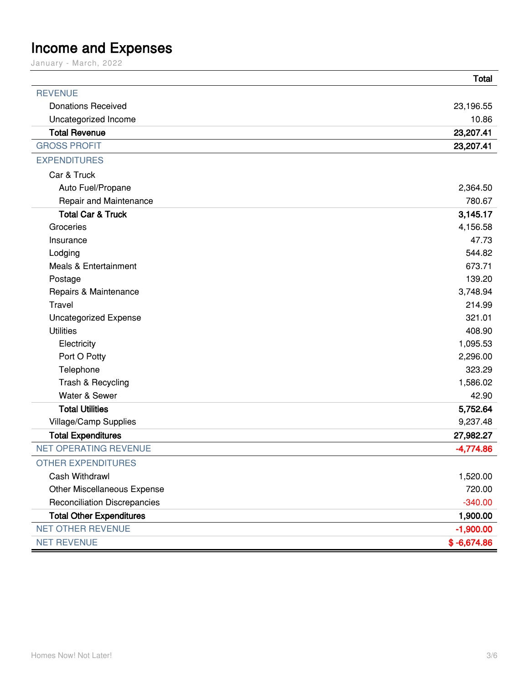#### <span id="page-2-0"></span>**lncome and Expenses**

January - March, 2022

|                                     | <b>Total</b>  |
|-------------------------------------|---------------|
| <b>REVENUE</b>                      |               |
| <b>Donations Received</b>           | 23,196.55     |
| Uncategorized Income                | 10.86         |
| <b>Total Revenue</b>                | 23,207.41     |
| <b>GROSS PROFIT</b>                 | 23,207.41     |
| <b>EXPENDITURES</b>                 |               |
| Car & Truck                         |               |
| Auto Fuel/Propane                   | 2,364.50      |
| Repair and Maintenance              | 780.67        |
| <b>Total Car &amp; Truck</b>        | 3,145.17      |
| Groceries                           | 4,156.58      |
| Insurance                           | 47.73         |
| Lodging                             | 544.82        |
| <b>Meals &amp; Entertainment</b>    | 673.71        |
| Postage                             | 139.20        |
| Repairs & Maintenance               | 3,748.94      |
| Travel                              | 214.99        |
| <b>Uncategorized Expense</b>        | 321.01        |
| <b>Utilities</b>                    | 408.90        |
| Electricity                         | 1,095.53      |
| Port O Potty                        | 2,296.00      |
| Telephone                           | 323.29        |
| Trash & Recycling                   | 1,586.02      |
| Water & Sewer                       | 42.90         |
| <b>Total Utilities</b>              | 5,752.64      |
| Village/Camp Supplies               | 9,237.48      |
| <b>Total Expenditures</b>           | 27,982.27     |
| <b>NET OPERATING REVENUE</b>        | $-4,774.86$   |
| <b>OTHER EXPENDITURES</b>           |               |
| Cash Withdrawl                      | 1,520.00      |
| Other Miscellaneous Expense         | 720.00        |
| <b>Reconciliation Discrepancies</b> | $-340.00$     |
| <b>Total Other Expenditures</b>     | 1,900.00      |
| <b>NET OTHER REVENUE</b>            | $-1,900.00$   |
| <b>NET REVENUE</b>                  | $$ -6,674.86$ |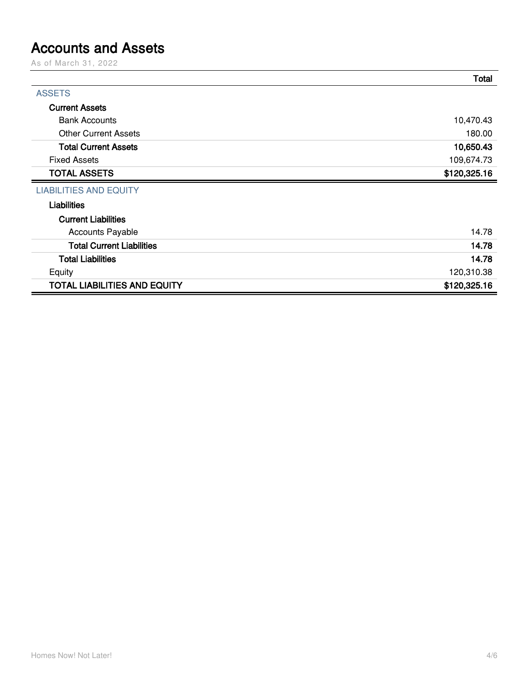#### <span id="page-3-0"></span>**Accounts and Assets**

As of March 31, 2022

|                                     | <b>Total</b> |
|-------------------------------------|--------------|
| <b>ASSETS</b>                       |              |
| <b>Current Assets</b>               |              |
| <b>Bank Accounts</b>                | 10,470.43    |
| <b>Other Current Assets</b>         | 180.00       |
| <b>Total Current Assets</b>         | 10,650.43    |
| <b>Fixed Assets</b>                 | 109,674.73   |
| <b>TOTAL ASSETS</b>                 | \$120,325.16 |
| <b>LIABILITIES AND EQUITY</b>       |              |
| <b>Liabilities</b>                  |              |
| <b>Current Liabilities</b>          |              |
| <b>Accounts Payable</b>             | 14.78        |
| <b>Total Current Liabilities</b>    | 14.78        |
| <b>Total Liabilities</b>            | 14.78        |
| Equity                              | 120,310.38   |
| <b>TOTAL LIABILITIES AND EQUITY</b> | \$120,325.16 |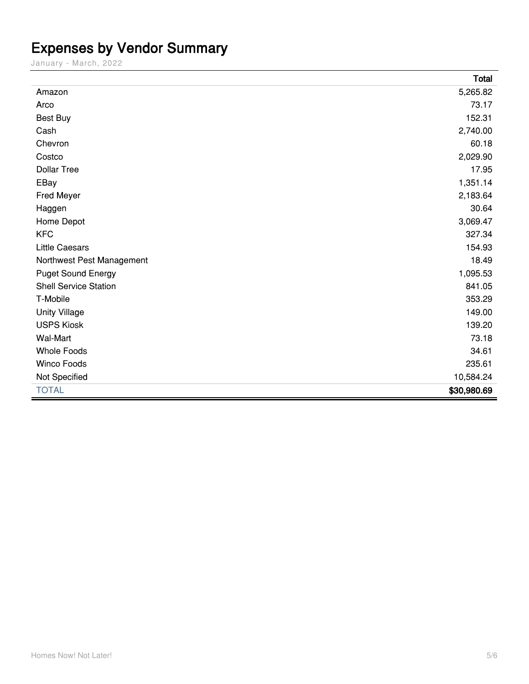## <span id="page-4-0"></span>**Expenses by Vendor Summary**

January - March, 2022

|                              | Total       |
|------------------------------|-------------|
| Amazon                       | 5,265.82    |
| Arco                         | 73.17       |
| Best Buy                     | 152.31      |
| Cash                         | 2,740.00    |
| Chevron                      | 60.18       |
| Costco                       | 2,029.90    |
| <b>Dollar Tree</b>           | 17.95       |
| EBay                         | 1,351.14    |
| Fred Meyer                   | 2,183.64    |
| Haggen                       | 30.64       |
| Home Depot                   | 3,069.47    |
| <b>KFC</b>                   | 327.34      |
| <b>Little Caesars</b>        | 154.93      |
| Northwest Pest Management    | 18.49       |
| <b>Puget Sound Energy</b>    | 1,095.53    |
| <b>Shell Service Station</b> | 841.05      |
| T-Mobile                     | 353.29      |
| <b>Unity Village</b>         | 149.00      |
| <b>USPS Kiosk</b>            | 139.20      |
| <b>Wal-Mart</b>              | 73.18       |
| <b>Whole Foods</b>           | 34.61       |
| <b>Winco Foods</b>           | 235.61      |
| Not Specified                | 10,584.24   |
| <b>TOTAL</b>                 | \$30,980.69 |